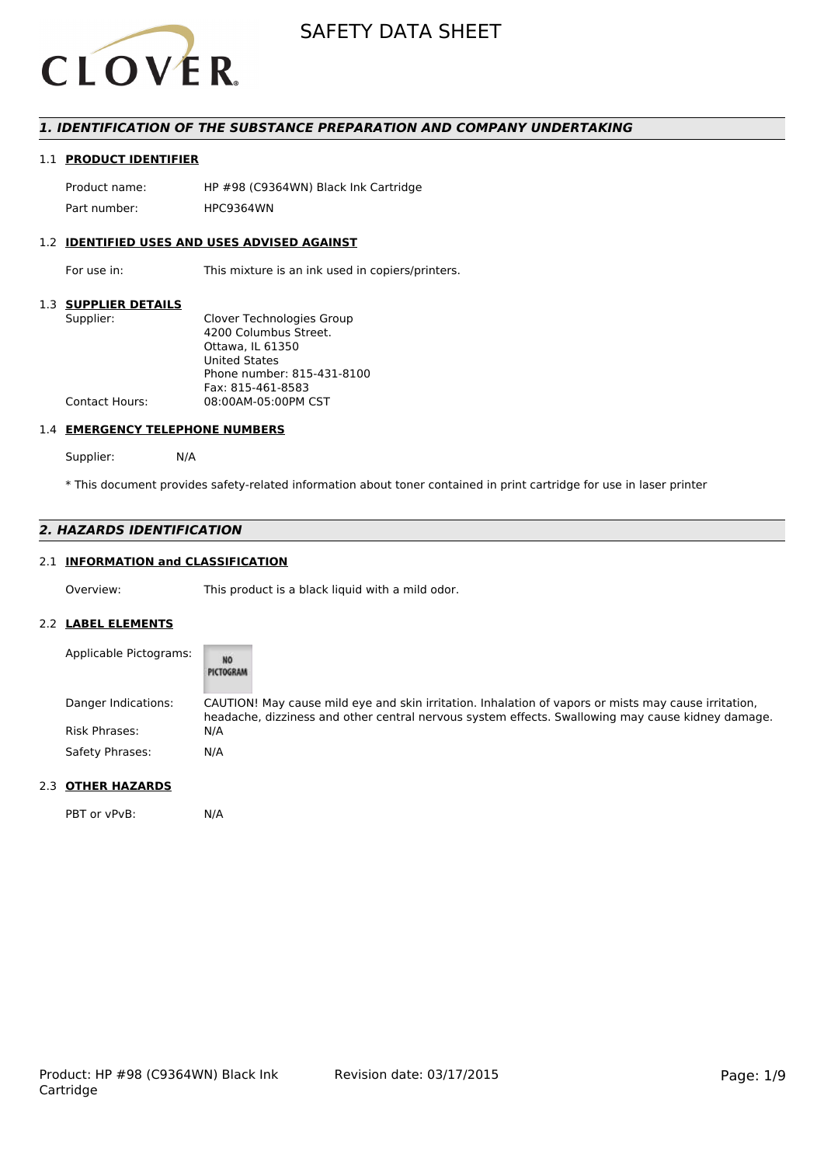

## *1. IDENTIFICATION OF THE SUBSTANCE PREPARATION AND COMPANY UNDERTAKING*

## 1.1 **PRODUCT IDENTIFIER**

Product name: HP #98 (C9364WN) Black Ink Cartridge Part number: HPC9364WN

## 1.2 **IDENTIFIED USES AND USES ADVISED AGAINST**

For use in: This mixture is an ink used in copiers/printers.

#### 1.3 **SUPPLIER DETAILS**

| Supplier:      | Clover Technologies Group  |
|----------------|----------------------------|
|                | 4200 Columbus Street.      |
|                | Ottawa. IL 61350           |
|                | <b>United States</b>       |
|                | Phone number: 815-431-8100 |
|                | Fax: 815-461-8583          |
| Contact Hours: | 08:00AM-05:00PM CST        |
|                |                            |

#### 1.4 **EMERGENCY TELEPHONE NUMBERS**

Supplier: N/A

\* This document provides safety-related information about toner contained in print cartridge for use in laser printer

# *2. HAZARDS IDENTIFICATION*

# 2.1 **INFORMATION and CLASSIFICATION**

Overview: This product is a black liquid with a mild odor.

#### 2.2 **LABEL ELEMENTS**

| Applicable Pictograms: | NŌ<br>PICTOGRAM                                                                                                                                                                                           |
|------------------------|-----------------------------------------------------------------------------------------------------------------------------------------------------------------------------------------------------------|
| Danger Indications:    | CAUTION! May cause mild eye and skin irritation. Inhalation of vapors or mists may cause irritation,<br>headache, dizziness and other central nervous system effects. Swallowing may cause kidney damage. |
| <b>Risk Phrases:</b>   | N/A                                                                                                                                                                                                       |
| Safety Phrases:        | N/A                                                                                                                                                                                                       |

# 2.3 **OTHER HAZARDS**

PBT or vPvB: N/A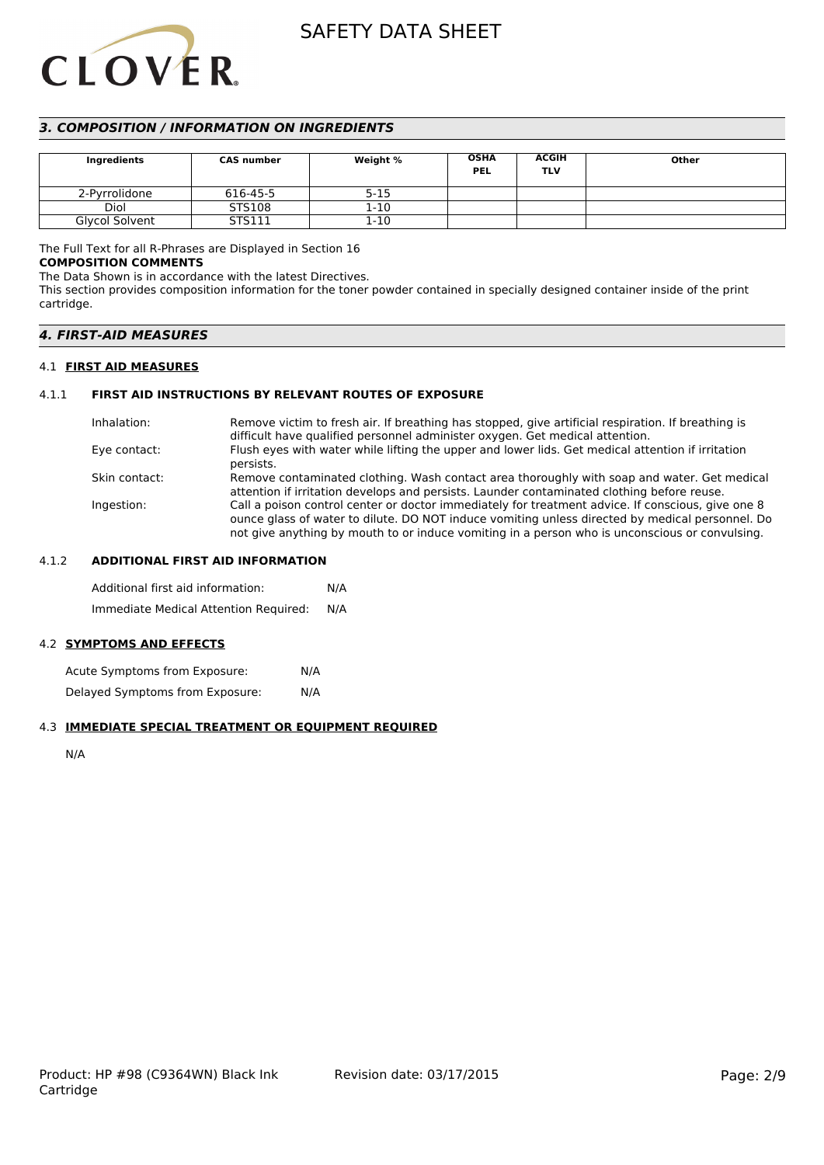# **CLOVER**

# *3. COMPOSITION / INFORMATION ON INGREDIENTS*

| Ingredients    | <b>CAS number</b> | Weight % | <b>OSHA</b><br><b>PEL</b> | ACGIH<br>TLV | Other |
|----------------|-------------------|----------|---------------------------|--------------|-------|
| 2-Pyrrolidone  | 616-45-5          | $5 - 15$ |                           |              |       |
| Diol           | STS108            | 1-10     |                           |              |       |
| Glycol Solvent | STS111            | 1-10     |                           |              |       |

The Full Text for all R-Phrases are Displayed in Section 16

## **COMPOSITION COMMENTS**

The Data Shown is in accordance with the latest Directives.

This section provides composition information for the toner powder contained in specially designed container inside of the print cartridge.

| <i><b>4. FIRST-AID MEASURES</b></i> |  |
|-------------------------------------|--|
|-------------------------------------|--|

# 4.1 **FIRST AID MEASURES**

# 4.1.1 **FIRST AID INSTRUCTIONS BY RELEVANT ROUTES OF EXPOSURE**

| Inhalation:   | Remove victim to fresh air. If breathing has stopped, give artificial respiration. If breathing is                                                                                                                                                                                                     |
|---------------|--------------------------------------------------------------------------------------------------------------------------------------------------------------------------------------------------------------------------------------------------------------------------------------------------------|
|               | difficult have qualified personnel administer oxygen. Get medical attention.                                                                                                                                                                                                                           |
| Eye contact:  | Flush eyes with water while lifting the upper and lower lids. Get medical attention if irritation<br>persists.                                                                                                                                                                                         |
| Skin contact: | Remove contaminated clothing. Wash contact area thoroughly with soap and water. Get medical<br>attention if irritation develops and persists. Launder contaminated clothing before reuse.                                                                                                              |
| Ingestion:    | Call a poison control center or doctor immediately for treatment advice. If conscious, give one 8<br>ounce glass of water to dilute. DO NOT induce vomiting unless directed by medical personnel. Do<br>not give anything by mouth to or induce vomiting in a person who is unconscious or convulsing. |

## 4.1.2 **ADDITIONAL FIRST AID INFORMATION**

Additional first aid information: N/A Immediate Medical Attention Required: N/A

# 4.2 **SYMPTOMS AND EFFECTS**

Acute Symptoms from Exposure: N/A Delayed Symptoms from Exposure: N/A

# 4.3 **IMMEDIATE SPECIAL TREATMENT OR EQUIPMENT REQUIRED**

N/A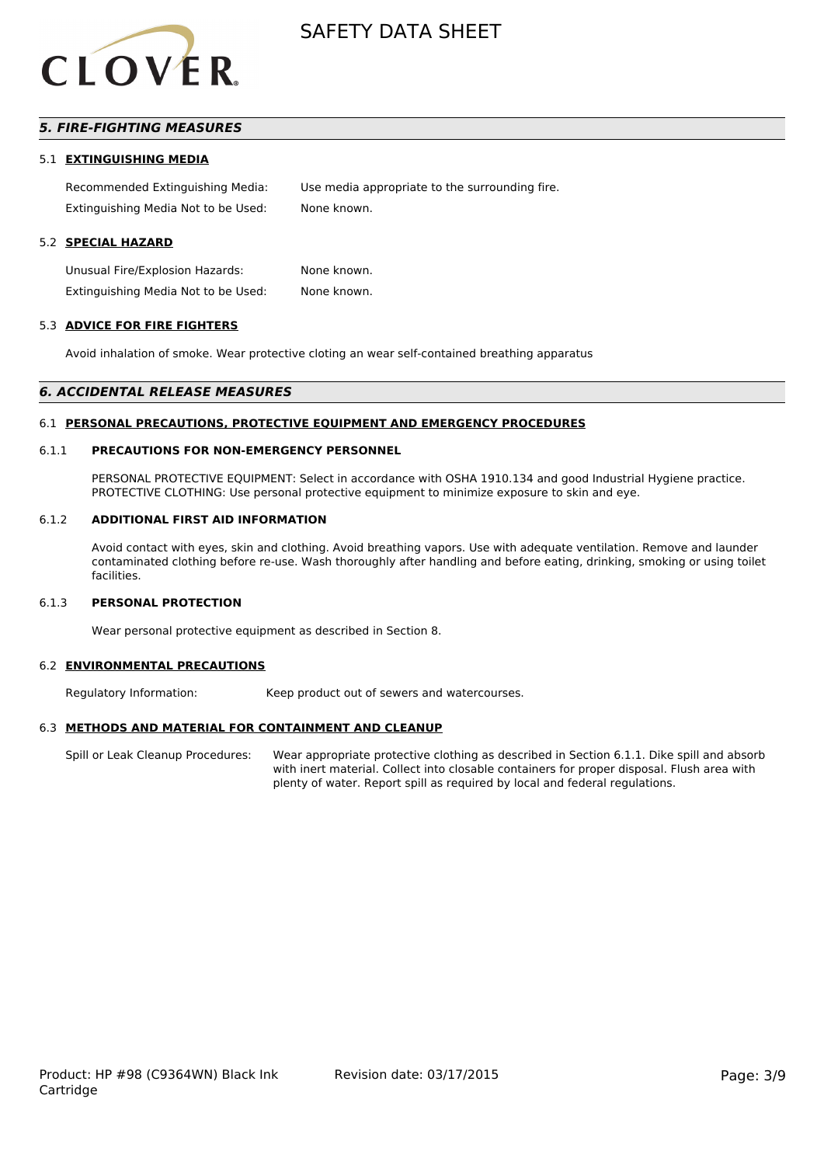

# *5. FIRE-FIGHTING MEASURES*

#### 5.1 **EXTINGUISHING MEDIA**

Recommended Extinguishing Media: Use media appropriate to the surrounding fire. Extinguishing Media Not to be Used: None known.

### 5.2 **SPECIAL HAZARD**

Unusual Fire/Explosion Hazards: None known. Extinguishing Media Not to be Used: None known.

#### 5.3 **ADVICE FOR FIRE FIGHTERS**

Avoid inhalation of smoke. Wear protective cloting an wear self-contained breathing apparatus

#### *6. ACCIDENTAL RELEASE MEASURES*

#### 6.1 **PERSONAL PRECAUTIONS, PROTECTIVE EQUIPMENT AND EMERGENCY PROCEDURES**

#### 6.1.1 **PRECAUTIONS FOR NON-EMERGENCY PERSONNEL**

PERSONAL PROTECTIVE EQUIPMENT: Select in accordance with OSHA 1910.134 and good Industrial Hygiene practice. PROTECTIVE CLOTHING: Use personal protective equipment to minimize exposure to skin and eye.

#### 6.1.2 **ADDITIONAL FIRST AID INFORMATION**

Avoid contact with eyes, skin and clothing. Avoid breathing vapors. Use with adequate ventilation. Remove and launder contaminated clothing before re-use. Wash thoroughly after handling and before eating, drinking, smoking or using toilet facilities.

#### 6.1.3 **PERSONAL PROTECTION**

Wear personal protective equipment as described in Section 8.

#### 6.2 **ENVIRONMENTAL PRECAUTIONS**

Regulatory Information: Keep product out of sewers and watercourses.

#### 6.3 **METHODS AND MATERIAL FOR CONTAINMENT AND CLEANUP**

Spill or Leak Cleanup Procedures: Wear appropriate protective clothing as described in Section 6.1.1. Dike spill and absorb with inert material. Collect into closable containers for proper disposal. Flush area with plenty of water. Report spill as required by local and federal regulations.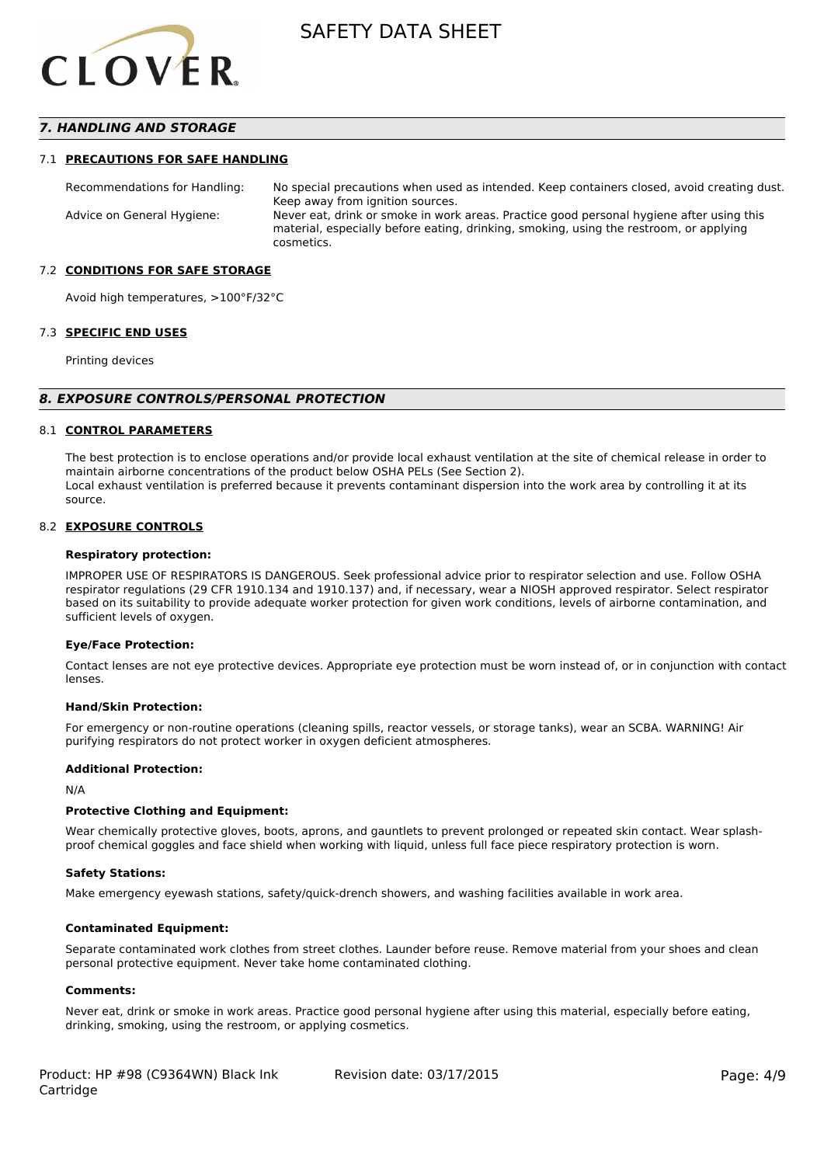

## *7. HANDLING AND STORAGE*

#### 7.1 **PRECAUTIONS FOR SAFE HANDLING**

Recommendations for Handling: No special precautions when used as intended. Keep containers closed, avoid creating dust. Keep away from ignition sources. Advice on General Hygiene: Never eat, drink or smoke in work areas. Practice good personal hygiene after using this material, especially before eating, drinking, smoking, using the restroom, or applying cosmetics.

#### 7.2 **CONDITIONS FOR SAFE STORAGE**

Avoid high temperatures, >100°F/32°C

#### 7.3 **SPECIFIC END USES**

Printing devices

#### *8. EXPOSURE CONTROLS/PERSONAL PROTECTION*

#### 8.1 **CONTROL PARAMETERS**

The best protection is to enclose operations and/or provide local exhaust ventilation at the site of chemical release in order to maintain airborne concentrations of the product below OSHA PELs (See Section 2). Local exhaust ventilation is preferred because it prevents contaminant dispersion into the work area by controlling it at its source.

#### 8.2 **EXPOSURE CONTROLS**

#### **Respiratory protection:**

IMPROPER USE OF RESPIRATORS IS DANGEROUS. Seek professional advice prior to respirator selection and use. Follow OSHA respirator regulations (29 CFR 1910.134 and 1910.137) and, if necessary, wear a NIOSH approved respirator. Select respirator based on its suitability to provide adequate worker protection for given work conditions, levels of airborne contamination, and sufficient levels of oxygen.

#### **Eye/Face Protection:**

Contact lenses are not eye protective devices. Appropriate eye protection must be worn instead of, or in conjunction with contact lenses.

#### **Hand/Skin Protection:**

For emergency or non-routine operations (cleaning spills, reactor vessels, or storage tanks), wear an SCBA. WARNING! Air purifying respirators do not protect worker in oxygen deficient atmospheres.

#### **Additional Protection:**

N/A

#### **Protective Clothing and Equipment:**

Wear chemically protective gloves, boots, aprons, and gauntlets to prevent prolonged or repeated skin contact. Wear splashproof chemical goggles and face shield when working with liquid, unless full face piece respiratory protection is worn.

#### **Safety Stations:**

Make emergency eyewash stations, safety/quick-drench showers, and washing facilities available in work area.

#### **Contaminated Equipment:**

Separate contaminated work clothes from street clothes. Launder before reuse. Remove material from your shoes and clean personal protective equipment. Never take home contaminated clothing.

#### **Comments:**

Never eat, drink or smoke in work areas. Practice good personal hygiene after using this material, especially before eating, drinking, smoking, using the restroom, or applying cosmetics.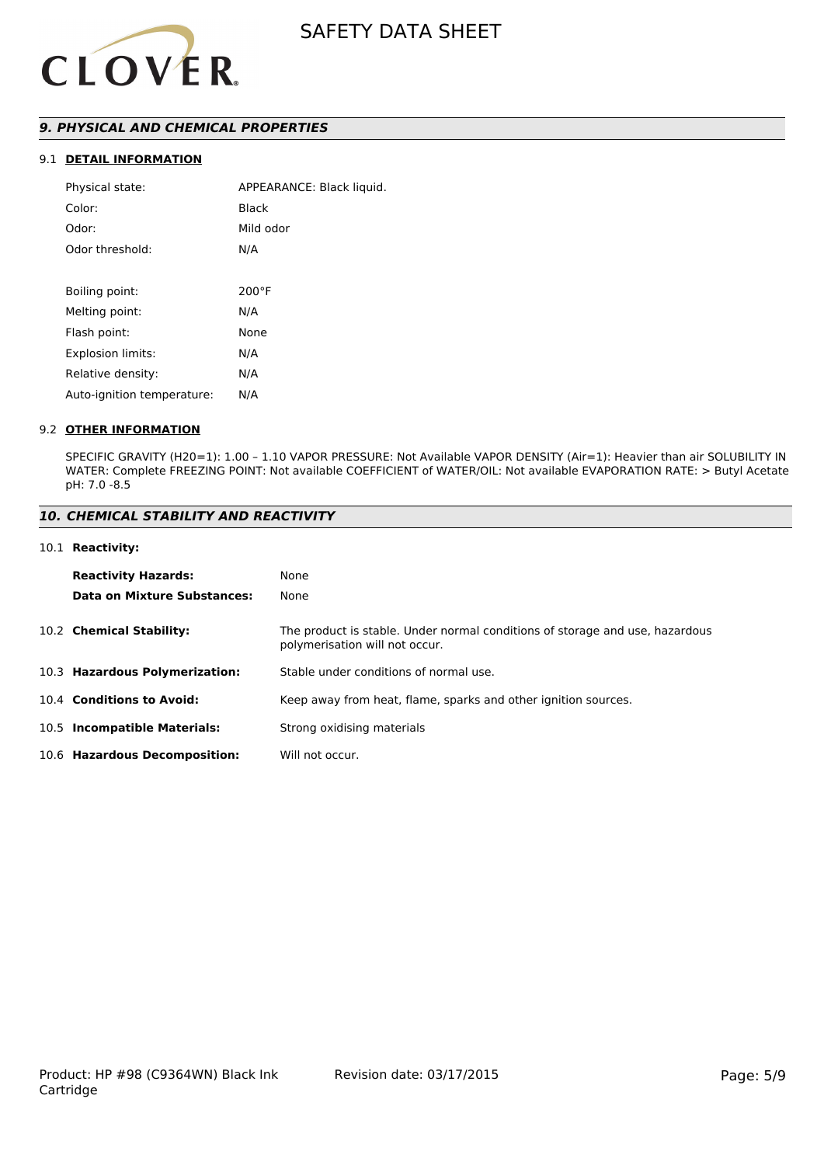

# *9. PHYSICAL AND CHEMICAL PROPERTIES*

# 9.1 **DETAIL INFORMATION**

| Physical state:            | APPEARANCE: Black liquid. |
|----------------------------|---------------------------|
| Color:                     | Black                     |
| Odor:                      | Mild odor                 |
| Odor threshold:            | N/A                       |
|                            |                           |
| Boiling point:             | $200^{\circ}$ F           |
| Melting point:             | N/A                       |
| Flash point:               | None                      |
| <b>Explosion limits:</b>   | N/A                       |
| Relative density:          | N/A                       |
| Auto-ignition temperature: | N/A                       |
|                            |                           |

#### 9.2 **OTHER INFORMATION**

SPECIFIC GRAVITY (H20=1): 1.00 – 1.10 VAPOR PRESSURE: Not Available VAPOR DENSITY (Air=1): Heavier than air SOLUBILITY IN WATER: Complete FREEZING POINT: Not available COEFFICIENT of WATER/OIL: Not available EVAPORATION RATE: > Butyl Acetate pH: 7.0 -8.5

# *10. CHEMICAL STABILITY AND REACTIVITY*

#### 10.1 **Reactivity:**

| <b>Reactivity Hazards:</b><br>Data on Mixture Substances: | None<br>None                                                                                                   |
|-----------------------------------------------------------|----------------------------------------------------------------------------------------------------------------|
| 10.2 Chemical Stability:                                  | The product is stable. Under normal conditions of storage and use, hazardous<br>polymerisation will not occur. |
| 10.3 Hazardous Polymerization:                            | Stable under conditions of normal use.                                                                         |
| 10.4 Conditions to Avoid:                                 | Keep away from heat, flame, sparks and other ignition sources.                                                 |
| 10.5 Incompatible Materials:                              | Strong oxidising materials                                                                                     |
| 10.6 Hazardous Decomposition:                             | Will not occur.                                                                                                |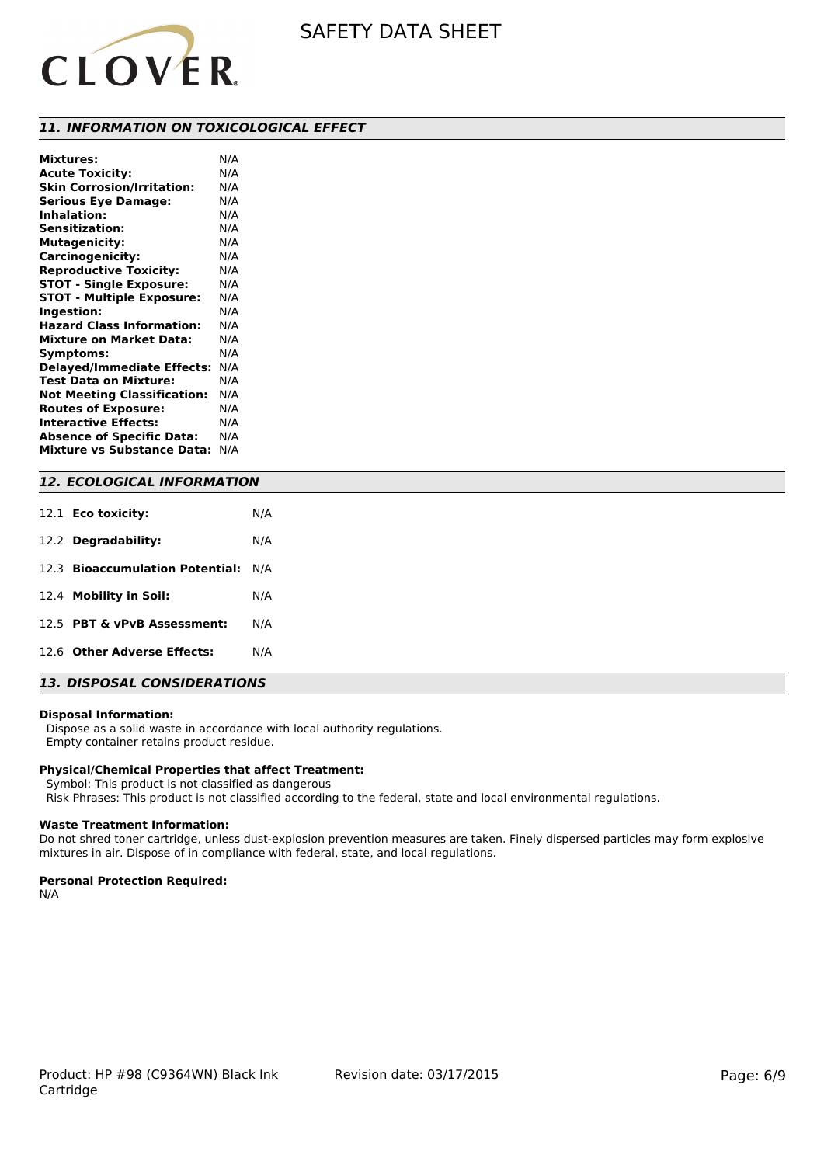

#### *11. INFORMATION ON TOXICOLOGICAL EFFECT*

| <b>Mixtures:</b>                   | N/A |
|------------------------------------|-----|
| <b>Acute Toxicity:</b>             | N/A |
| <b>Skin Corrosion/Irritation:</b>  | N/A |
| <b>Serious Eye Damage:</b>         | N/A |
| <b>Inhalation:</b>                 | N/A |
| <b>Sensitization:</b>              | N/A |
| <b>Mutagenicity:</b>               | N/A |
| Carcinogenicity:                   | N/A |
| <b>Reproductive Toxicity:</b>      | N/A |
| <b>STOT - Single Exposure:</b>     | N/A |
| <b>STOT - Multiple Exposure:</b>   | N/A |
| Ingestion:                         | N/A |
| <b>Hazard Class Information:</b>   | N/A |
| <b>Mixture on Market Data:</b>     | N/A |
| Symptoms:                          | N/A |
| <b>Delayed/Immediate Effects:</b>  | N/A |
| <b>Test Data on Mixture:</b>       | N/A |
| <b>Not Meeting Classification:</b> | N/A |
| <b>Routes of Exposure:</b>         | N/A |
| <b>Interactive Effects:</b>        | N/A |
| <b>Absence of Specific Data:</b>   | N/A |
| <b>Mixture vs Substance Data:</b>  | N/A |

#### *12. ECOLOGICAL INFORMATION*

| 12.1 <b>Eco toxicity:</b>           | N/A |
|-------------------------------------|-----|
| 12.2 Degradability:                 | N/A |
| 12.3 Bioaccumulation Potential: N/A |     |
| 12.4 Mobility in Soil:              | N/A |
| 12.5 PBT & vPvB Assessment:         | N/A |
| 12.6 Other Adverse Effects:         | N/A |
|                                     |     |

# *13. DISPOSAL CONSIDERATIONS*

#### **Disposal Information:**

 Dispose as a solid waste in accordance with local authority regulations. Empty container retains product residue.

#### **Physical/Chemical Properties that affect Treatment:**

Symbol: This product is not classified as dangerous

Risk Phrases: This product is not classified according to the federal, state and local environmental regulations.

#### **Waste Treatment Information:**

Do not shred toner cartridge, unless dust-explosion prevention measures are taken. Finely dispersed particles may form explosive mixtures in air. Dispose of in compliance with federal, state, and local regulations.

#### **Personal Protection Required:**

N/A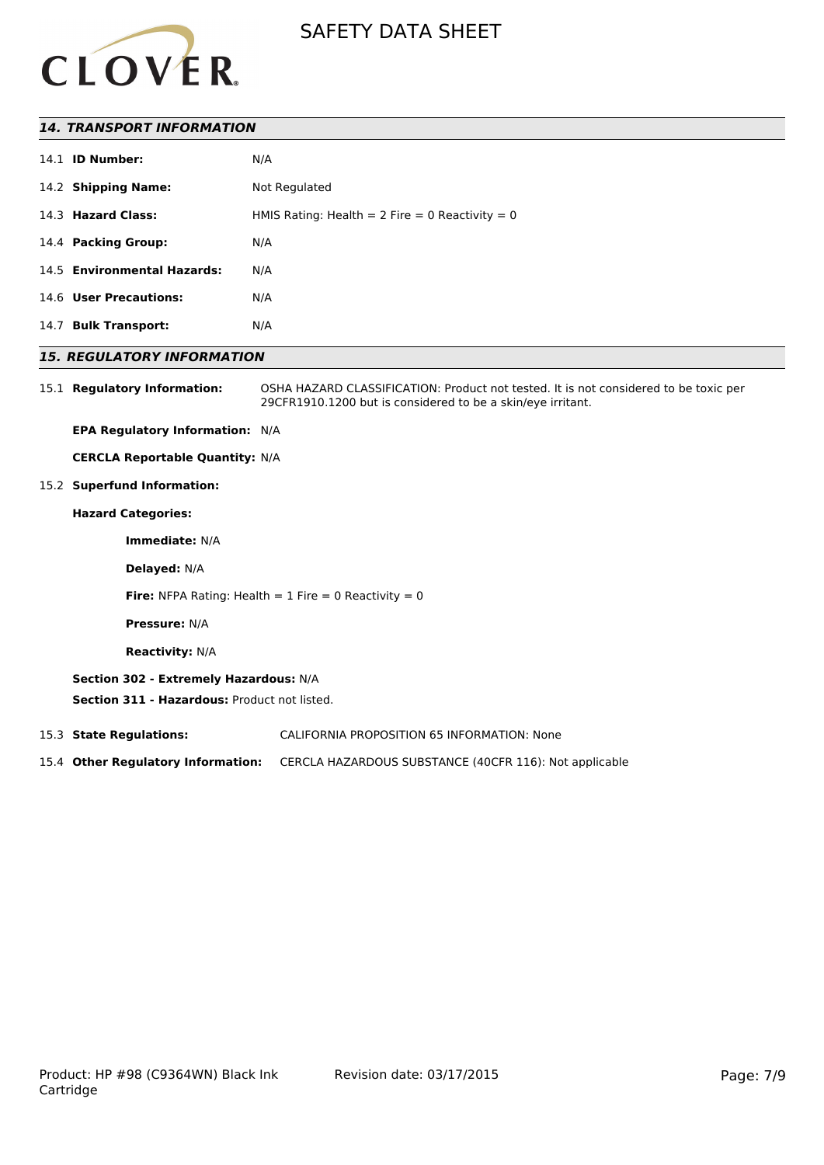

## *14. TRANSPORT INFORMATION*

|      | 14.1 <b>ID Number:</b>      | N/A                                               |
|------|-----------------------------|---------------------------------------------------|
|      | 14.2 Shipping Name:         | Not Regulated                                     |
|      | 14.3 Hazard Class:          | HMIS Rating: Health = $2$ Fire = 0 Reactivity = 0 |
|      | 14.4 Packing Group:         | N/A                                               |
|      | 14.5 Environmental Hazards: | N/A                                               |
|      | 14.6 User Precautions:      | N/A                                               |
| 14.7 | <b>Bulk Transport:</b>      | N/A                                               |

## *15. REGULATORY INFORMATION*

15.1 **Regulatory Information:** OSHA HAZARD CLASSIFICATION: Product not tested. It is not considered to be toxic per 29CFR1910.1200 but is considered to be a skin/eye irritant.

**EPA Regulatory Information:** N/A

**CERCLA Reportable Quantity:** N/A

15.2 **Superfund Information:**

# **Hazard Categories:**

**Immediate:** N/A

**Delayed:** N/A

**Fire:** NFPA Rating: Health  $= 1$  Fire  $= 0$  Reactivity  $= 0$ 

**Pressure:** N/A

**Reactivity:** N/A

#### **Section 302 - Extremely Hazardous:** N/A

**Section 311 - Hazardous:** Product not listed.

15.3 **State Regulations:** CALIFORNIA PROPOSITION 65 INFORMATION: None

15.4 **Other Regulatory Information:** CERCLA HAZARDOUS SUBSTANCE (40CFR 116): Not applicable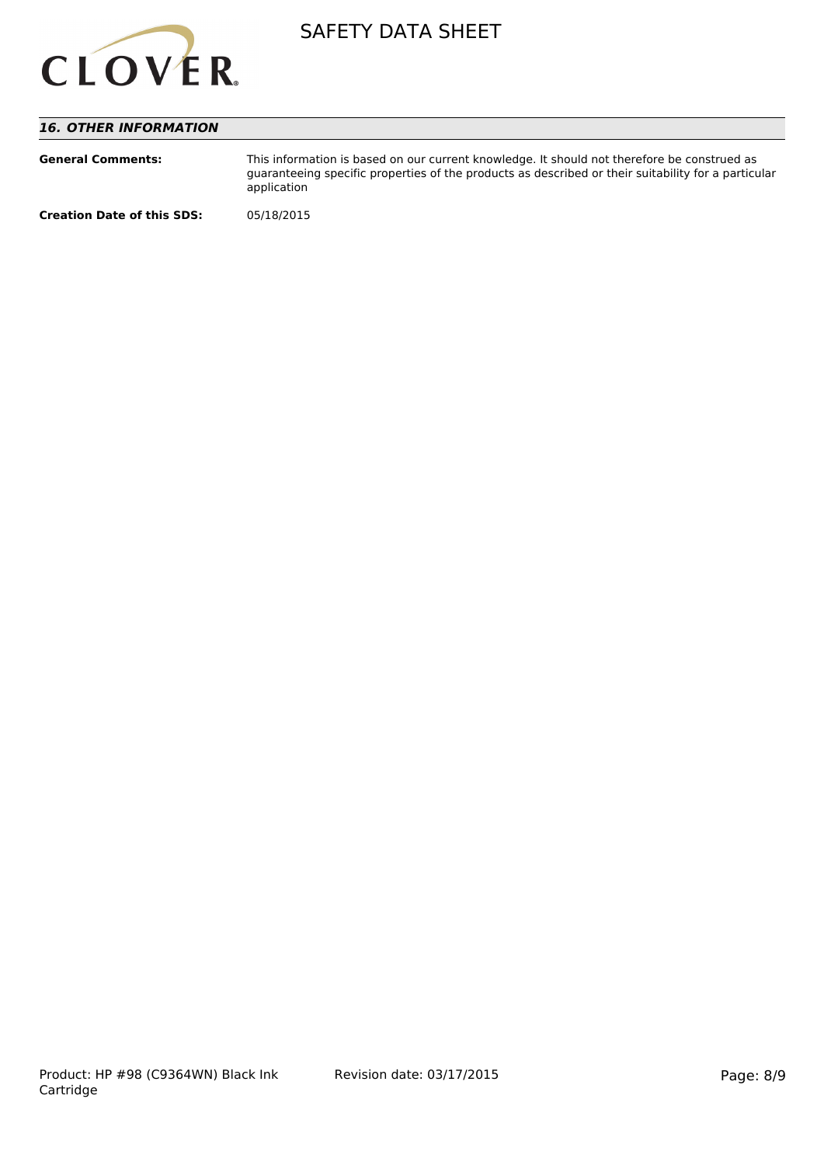

# *16. OTHER INFORMATION*

| <b>General Comments:</b>          | This information is based on our current knowledge. It should not therefore be construed as<br>quaranteeing specific properties of the products as described or their suitability for a particular<br>application |
|-----------------------------------|-------------------------------------------------------------------------------------------------------------------------------------------------------------------------------------------------------------------|
| <b>Creation Date of this SDS:</b> | 05/18/2015                                                                                                                                                                                                        |